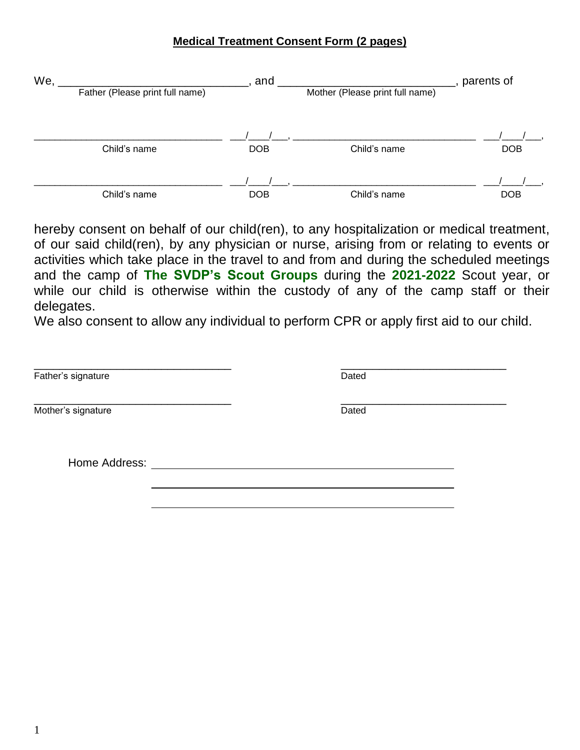## **Medical Treatment Consent Form (2 pages)**

| We, |                                 | and        |                                 | parents of |
|-----|---------------------------------|------------|---------------------------------|------------|
|     | Father (Please print full name) |            | Mother (Please print full name) |            |
|     |                                 |            |                                 |            |
|     | Child's name                    | <b>DOB</b> | Child's name                    | <b>DOB</b> |
|     |                                 |            |                                 |            |
|     | Child's name                    | <b>DOB</b> | Child's name                    | <b>DOB</b> |

hereby consent on behalf of our child(ren), to any hospitalization or medical treatment, of our said child(ren), by any physician or nurse, arising from or relating to events or activities which take place in the travel to and from and during the scheduled meetings and the camp of **The SVDP's Scout Groups** during the **2021-2022** Scout year, or while our child is otherwise within the custody of any of the camp staff or their delegates.

We also consent to allow any individual to perform CPR or apply first aid to our child.

| Father's signature | Dated |  |
|--------------------|-------|--|
| Mother's signature | Dated |  |
| Home Address:      |       |  |
|                    |       |  |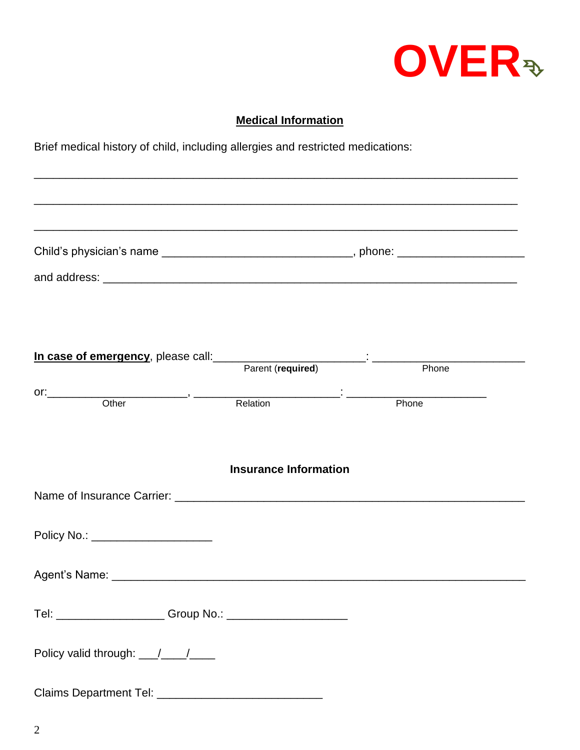

## **Medical Information**

\_\_\_\_\_\_\_\_\_\_\_\_\_\_\_\_\_\_\_\_\_\_\_\_\_\_\_\_\_\_\_\_\_\_\_\_\_\_\_\_\_\_\_\_\_\_\_\_\_\_\_\_\_\_\_\_\_\_\_\_\_\_\_\_\_\_\_\_\_\_\_\_\_\_\_\_

Brief medical history of child, including allergies and restricted medications:

\_\_\_\_\_\_\_\_\_\_\_\_\_\_\_\_\_\_\_\_\_\_\_\_\_\_\_\_\_\_\_\_\_\_\_\_\_\_\_\_\_\_\_\_\_\_\_\_\_\_\_\_\_\_\_\_\_\_\_\_\_\_\_\_\_\_\_\_\_\_\_\_\_\_\_\_ \_\_\_\_\_\_\_\_\_\_\_\_\_\_\_\_\_\_\_\_\_\_\_\_\_\_\_\_\_\_\_\_\_\_\_\_\_\_\_\_\_\_\_\_\_\_\_\_\_\_\_\_\_\_\_\_\_\_\_\_\_\_\_\_\_\_\_\_\_\_\_\_\_\_\_\_ Child's physician's name \_\_\_\_\_\_\_\_\_\_\_\_\_\_\_\_\_\_\_\_\_\_\_\_\_\_\_\_\_\_\_\_\_, phone: \_\_\_\_\_\_\_\_\_\_\_\_\_\_ and address: **with a structure of the structure of the structure of the structure of the structure of the structure of the structure of the structure of the structure of the structure of the structure of the structure of t In case of emergency**, please call:\_\_\_\_\_\_\_\_\_\_\_\_\_\_\_\_\_\_\_\_\_\_\_\_: \_\_\_\_\_\_\_\_\_\_\_\_\_\_\_\_\_\_\_\_\_\_\_\_ Parent (**required**) **Phone** or:\_\_\_\_\_\_\_\_\_\_\_\_\_\_\_\_\_\_\_\_\_\_, \_\_\_\_\_\_\_\_\_\_\_\_\_\_\_\_\_\_\_\_\_\_\_: \_\_\_\_\_\_\_\_\_\_\_\_\_\_\_\_\_\_\_\_\_\_ **Relation Insurance Information** Name of Insurance Carrier: **We are all that the end of the set of the end of the end of the end** of the set of the set of the set of the set of the set of the set of the set of the set of the set of the set of the set of t Policy No.: \_\_\_\_\_\_\_\_\_\_\_\_\_\_\_\_\_\_\_ Agent's Name: \_\_\_\_\_\_\_\_\_\_\_\_\_\_\_\_\_\_\_\_\_\_\_\_\_\_\_\_\_\_\_\_\_\_\_\_\_\_\_\_\_\_\_\_\_\_\_\_\_\_\_\_\_\_\_\_\_\_\_\_\_\_\_\_\_ Tel: \_\_\_\_\_\_\_\_\_\_\_\_\_\_\_\_\_ Group No.: \_\_\_\_\_\_\_\_\_\_\_\_\_\_\_\_\_\_\_ Policy valid through:  $\frac{1}{2}$ Claims Department Tel: \_\_\_\_\_\_\_\_\_\_\_\_\_\_\_\_\_\_\_\_\_\_\_\_\_\_